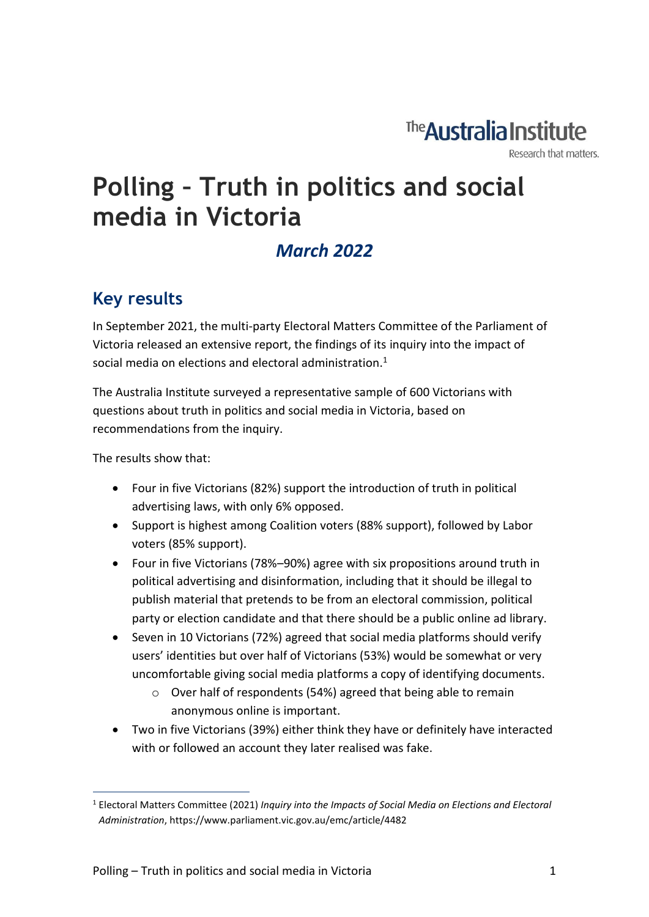The **Australia Institute** 

Research that matters.

# **Polling – Truth in politics and social media in Victoria**

### *March 2022*

#### **Key results**

In September 2021, the multi-party Electoral Matters Committee of the Parliament of Victoria released an extensive report, the findings of its inquiry into the impact of social media on elections and electoral administration. $1$ 

The Australia Institute surveyed a representative sample of 600 Victorians with questions about truth in politics and social media in Victoria, based on recommendations from the inquiry.

The results show that:

- Four in five Victorians (82%) support the introduction of truth in political advertising laws, with only 6% opposed.
- Support is highest among Coalition voters (88% support), followed by Labor voters (85% support).
- Four in five Victorians (78%–90%) agree with six propositions around truth in political advertising and disinformation, including that it should be illegal to publish material that pretends to be from an electoral commission, political party or election candidate and that there should be a public online ad library.
- Seven in 10 Victorians (72%) agreed that social media platforms should verify users' identities but over half of Victorians (53%) would be somewhat or very uncomfortable giving social media platforms a copy of identifying documents.
	- o Over half of respondents (54%) agreed that being able to remain anonymous online is important.
- Two in five Victorians (39%) either think they have or definitely have interacted with or followed an account they later realised was fake.

<sup>1</sup> Electoral Matters Committee (2021) *Inquiry into the Impacts of Social Media on Elections and Electoral Administration*, https://www.parliament.vic.gov.au/emc/article/4482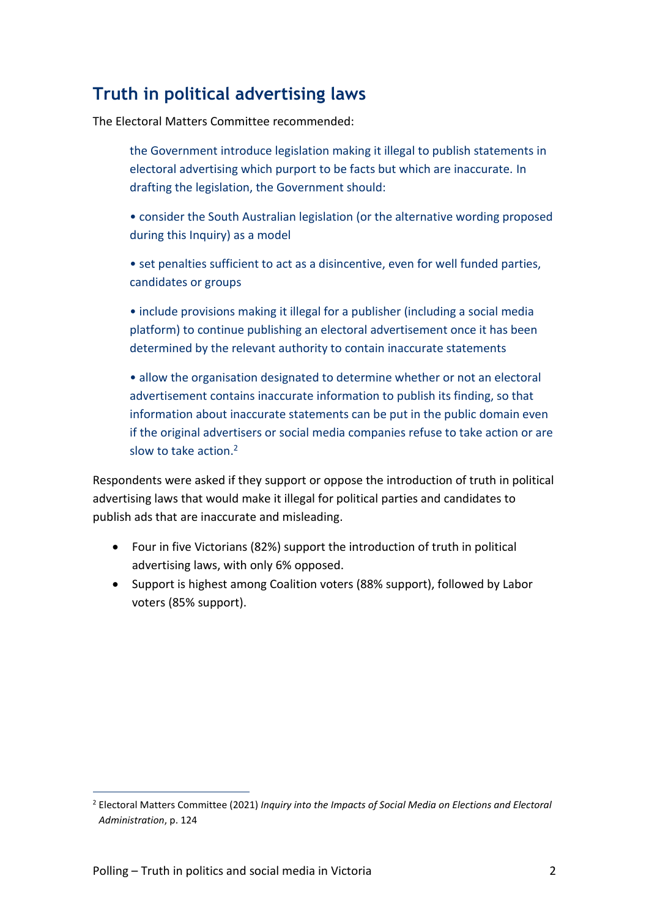### **Truth in political advertising laws**

The Electoral Matters Committee recommended:

the Government introduce legislation making it illegal to publish statements in electoral advertising which purport to be facts but which are inaccurate. In drafting the legislation, the Government should:

• consider the South Australian legislation (or the alternative wording proposed during this Inquiry) as a model

• set penalties sufficient to act as a disincentive, even for well funded parties, candidates or groups

• include provisions making it illegal for a publisher (including a social media platform) to continue publishing an electoral advertisement once it has been determined by the relevant authority to contain inaccurate statements

• allow the organisation designated to determine whether or not an electoral advertisement contains inaccurate information to publish its finding, so that information about inaccurate statements can be put in the public domain even if the original advertisers or social media companies refuse to take action or are slow to take action.<sup>2</sup>

Respondents were asked if they support or oppose the introduction of truth in political advertising laws that would make it illegal for political parties and candidates to publish ads that are inaccurate and misleading.

- Four in five Victorians (82%) support the introduction of truth in political advertising laws, with only 6% opposed.
- Support is highest among Coalition voters (88% support), followed by Labor voters (85% support).

<sup>2</sup> Electoral Matters Committee (2021) *Inquiry into the Impacts of Social Media on Elections and Electoral Administration*, p. 124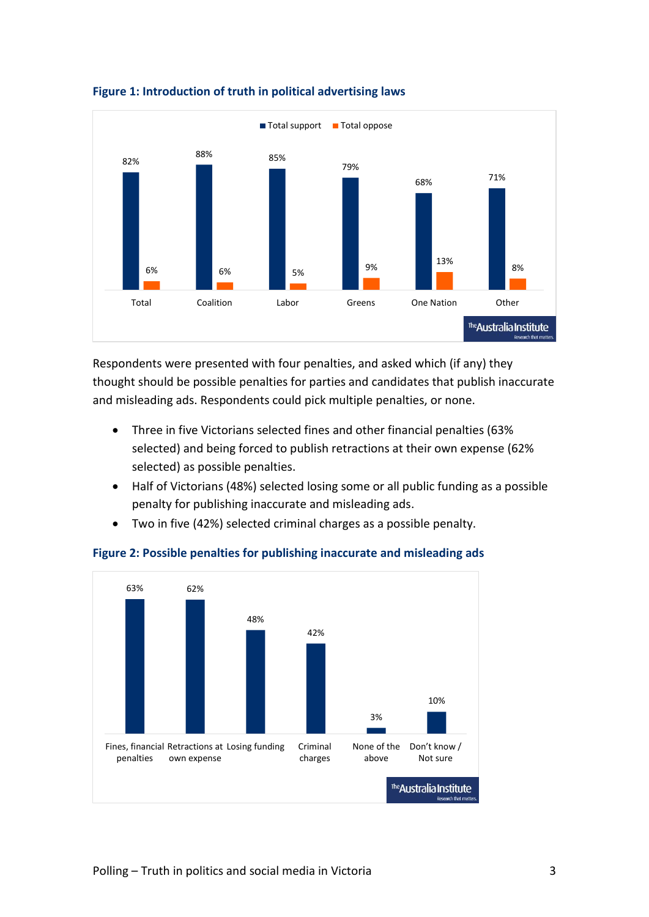

#### **Figure 1: Introduction of truth in political advertising laws**

Respondents were presented with four penalties, and asked which (if any) they thought should be possible penalties for parties and candidates that publish inaccurate and misleading ads. Respondents could pick multiple penalties, or none.

- Three in five Victorians selected fines and other financial penalties (63% selected) and being forced to publish retractions at their own expense (62% selected) as possible penalties.
- Half of Victorians (48%) selected losing some or all public funding as a possible penalty for publishing inaccurate and misleading ads.
- Two in five (42%) selected criminal charges as a possible penalty.



#### **Figure 2: Possible penalties for publishing inaccurate and misleading ads**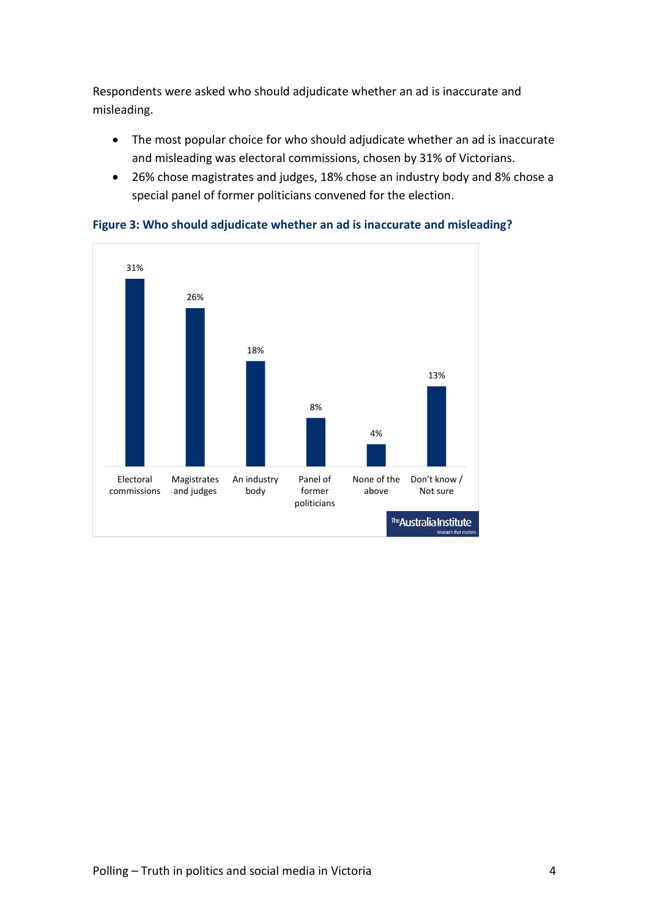Respondents were asked who should adjudicate whether an ad is inaccurate and misleading.

- The most popular choice for who should adjudicate whether an ad is inaccurate and misleading was electoral commissions, chosen by 31% of Victorians.
- 26% chose magistrates and judges, 18% chose an industry body and 8% chose a special panel of former politicians convened for the election.



**Figure 3: Who should adjudicate whether an ad is inaccurate and misleading?**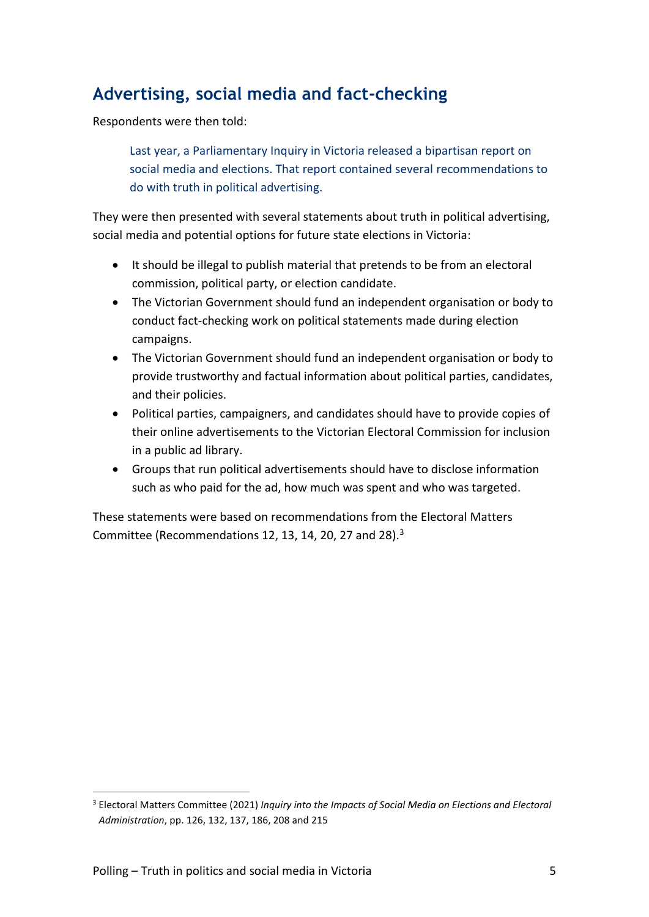## **Advertising, social media and fact-checking**

Respondents were then told:

Last year, a Parliamentary Inquiry in Victoria released a bipartisan report on social media and elections. That report contained several recommendations to do with truth in political advertising.

They were then presented with several statements about truth in political advertising, social media and potential options for future state elections in Victoria:

- It should be illegal to publish material that pretends to be from an electoral commission, political party, or election candidate.
- The Victorian Government should fund an independent organisation or body to conduct fact-checking work on political statements made during election campaigns.
- The Victorian Government should fund an independent organisation or body to provide trustworthy and factual information about political parties, candidates, and their policies.
- Political parties, campaigners, and candidates should have to provide copies of their online advertisements to the Victorian Electoral Commission for inclusion in a public ad library.
- Groups that run political advertisements should have to disclose information such as who paid for the ad, how much was spent and who was targeted.

These statements were based on recommendations from the Electoral Matters Committee (Recommendations 12, 13, 14, 20, 27 and 28).<sup>3</sup>

<sup>3</sup> Electoral Matters Committee (2021) *Inquiry into the Impacts of Social Media on Elections and Electoral Administration*, pp. 126, 132, 137, 186, 208 and 215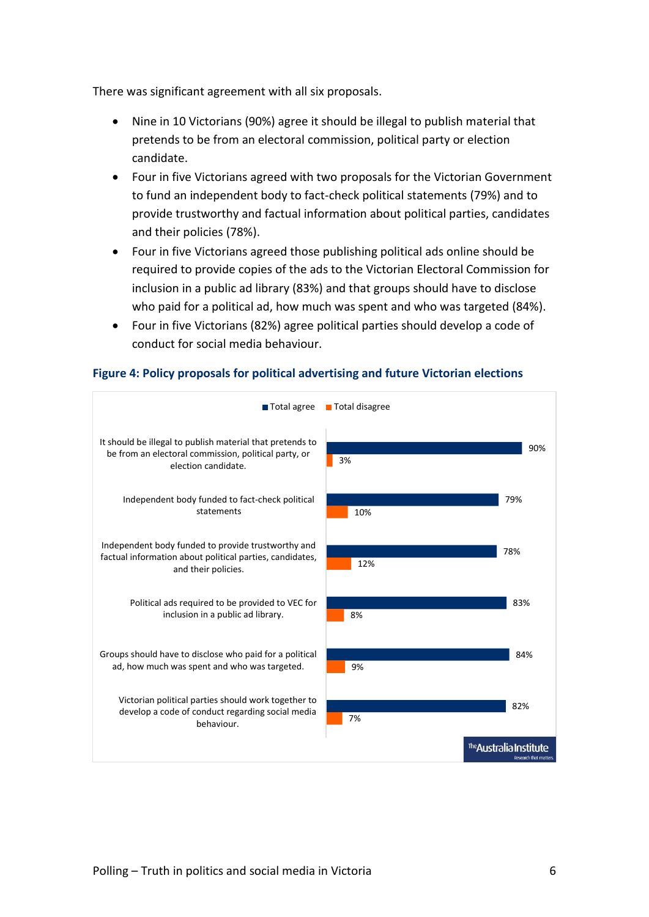There was significant agreement with all six proposals.

- Nine in 10 Victorians (90%) agree it should be illegal to publish material that pretends to be from an electoral commission, political party or election candidate.
- Four in five Victorians agreed with two proposals for the Victorian Government to fund an independent body to fact-check political statements (79%) and to provide trustworthy and factual information about political parties, candidates and their policies (78%).
- Four in five Victorians agreed those publishing political ads online should be required to provide copies of the ads to the Victorian Electoral Commission for inclusion in a public ad library (83%) and that groups should have to disclose who paid for a political ad, how much was spent and who was targeted (84%).
- Four in five Victorians (82%) agree political parties should develop a code of conduct for social media behaviour.

#### **Figure 4: Policy proposals for political advertising and future Victorian elections**

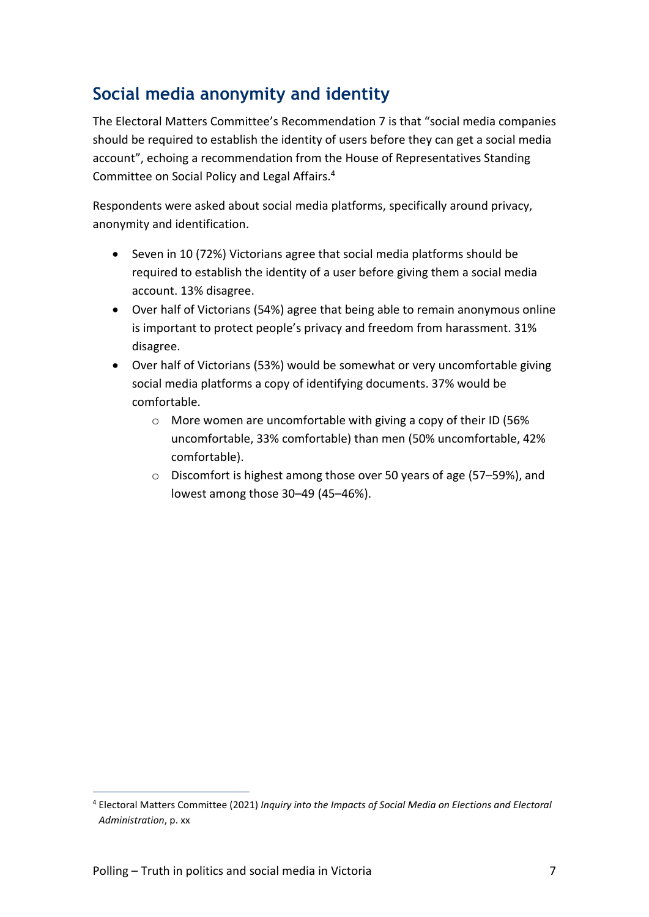# **Social media anonymity and identity**

The Electoral Matters Committee's Recommendation 7 is that "social media companies should be required to establish the identity of users before they can get a social media account", echoing a recommendation from the House of Representatives Standing Committee on Social Policy and Legal Affairs.<sup>4</sup>

Respondents were asked about social media platforms, specifically around privacy, anonymity and identification.

- Seven in 10 (72%) Victorians agree that social media platforms should be required to establish the identity of a user before giving them a social media account. 13% disagree.
- Over half of Victorians (54%) agree that being able to remain anonymous online is important to protect people's privacy and freedom from harassment. 31% disagree.
- Over half of Victorians (53%) would be somewhat or very uncomfortable giving social media platforms a copy of identifying documents. 37% would be comfortable.
	- o More women are uncomfortable with giving a copy of their ID (56% uncomfortable, 33% comfortable) than men (50% uncomfortable, 42% comfortable).
	- o Discomfort is highest among those over 50 years of age (57–59%), and lowest among those 30–49 (45–46%).

<sup>4</sup> Electoral Matters Committee (2021) *Inquiry into the Impacts of Social Media on Elections and Electoral Administration*, p. xx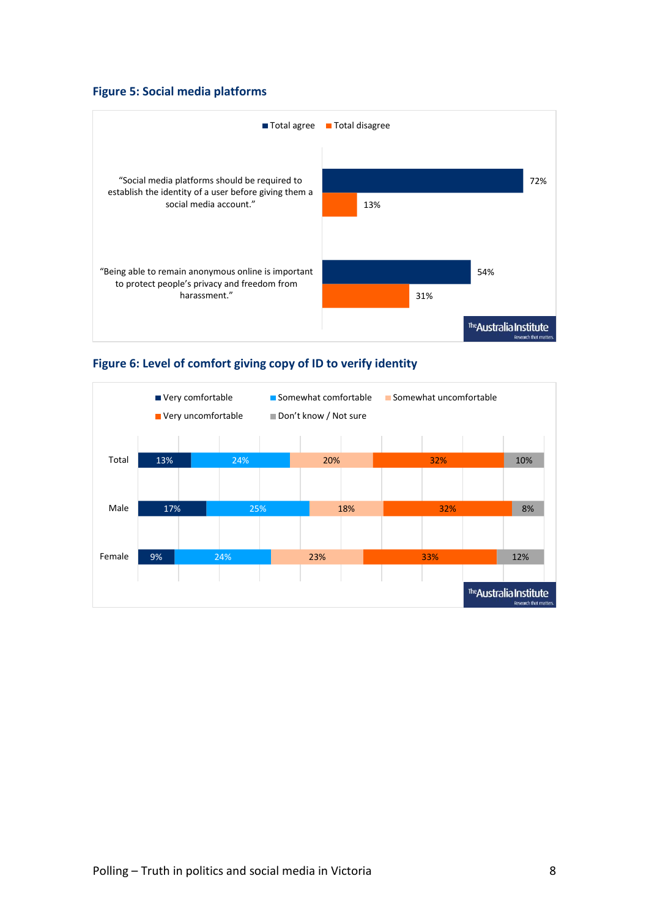#### **Figure 5: Social media platforms**



#### **Figure 6: Level of comfort giving copy of ID to verify identity**

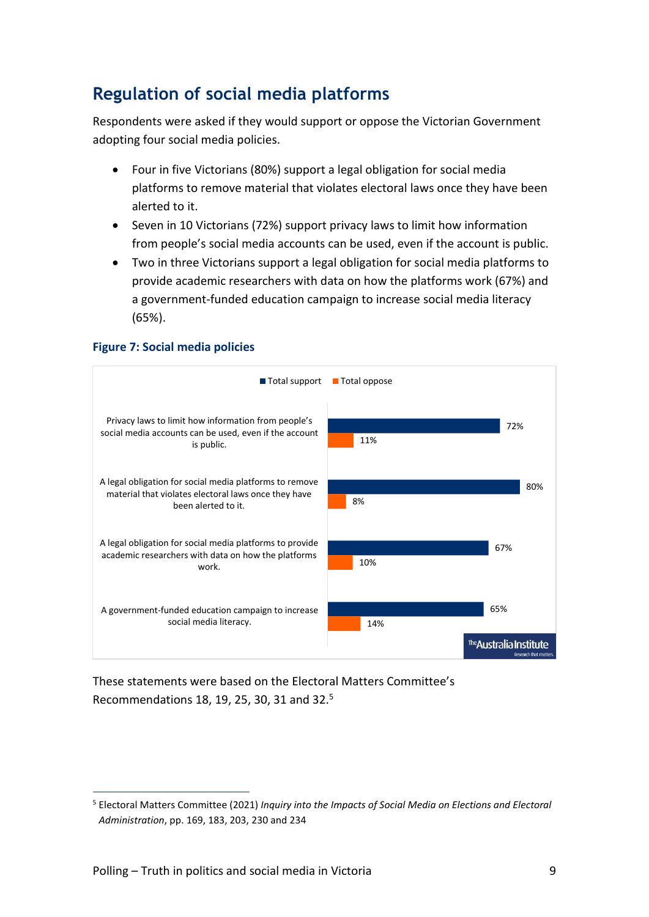# **Regulation of social media platforms**

Respondents were asked if they would support or oppose the Victorian Government adopting four social media policies.

- Four in five Victorians (80%) support a legal obligation for social media platforms to remove material that violates electoral laws once they have been alerted to it.
- Seven in 10 Victorians (72%) support privacy laws to limit how information from people's social media accounts can be used, even if the account is public.
- Two in three Victorians support a legal obligation for social media platforms to provide academic researchers with data on how the platforms work (67%) and a government-funded education campaign to increase social media literacy (65%).

#### **Figure 7: Social media policies**



These statements were based on the Electoral Matters Committee's Recommendations 18, 19, 25, 30, 31 and 32.<sup>5</sup>

<sup>5</sup> Electoral Matters Committee (2021) *Inquiry into the Impacts of Social Media on Elections and Electoral Administration*, pp. 169, 183, 203, 230 and 234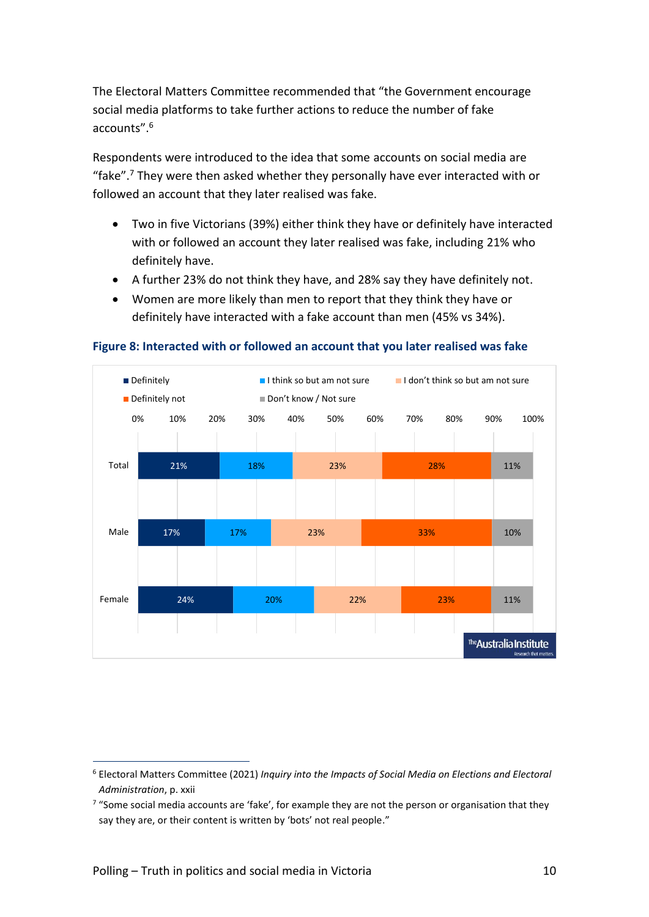The Electoral Matters Committee recommended that "the Government encourage social media platforms to take further actions to reduce the number of fake accounts".<sup>6</sup>

Respondents were introduced to the idea that some accounts on social media are "fake".<sup>7</sup> They were then asked whether they personally have ever interacted with or followed an account that they later realised was fake.

- Two in five Victorians (39%) either think they have or definitely have interacted with or followed an account they later realised was fake, including 21% who definitely have.
- A further 23% do not think they have, and 28% say they have definitely not.
- Women are more likely than men to report that they think they have or definitely have interacted with a fake account than men (45% vs 34%).



**Figure 8: Interacted with or followed an account that you later realised was fake**

<sup>6</sup> Electoral Matters Committee (2021) *Inquiry into the Impacts of Social Media on Elections and Electoral Administration*, p. xxii

<sup>&</sup>lt;sup>7</sup> "Some social media accounts are 'fake', for example they are not the person or organisation that they say they are, or their content is written by 'bots' not real people."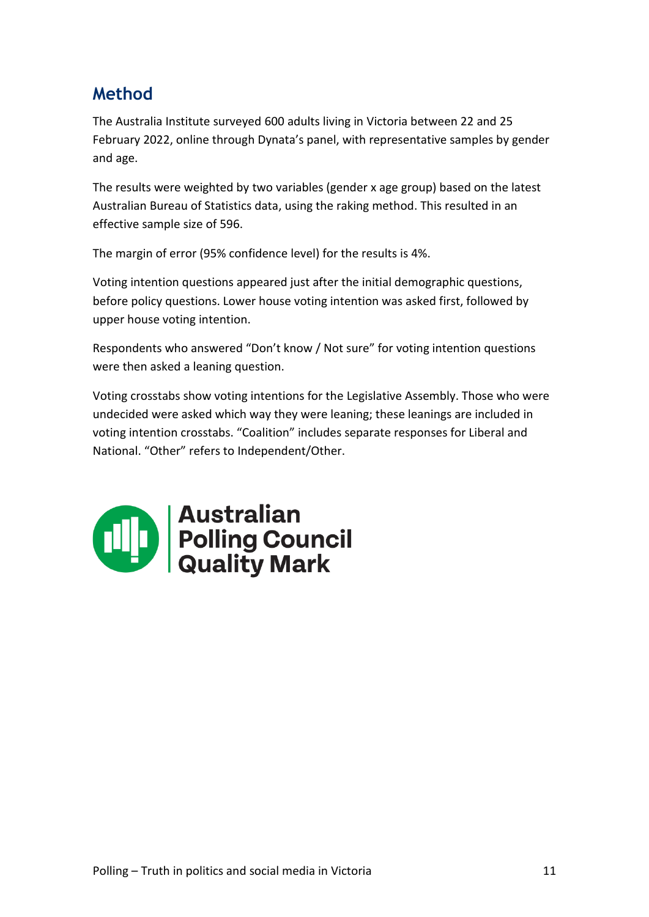# **Method**

The Australia Institute surveyed 600 adults living in Victoria between 22 and 25 February 2022, online through Dynata's panel, with representative samples by gender and age.

The results were weighted by two variables (gender x age group) based on the latest Australian Bureau of Statistics data, using the raking method. This resulted in an effective sample size of 596.

The margin of error (95% confidence level) for the results is 4%.

Voting intention questions appeared just after the initial demographic questions, before policy questions. Lower house voting intention was asked first, followed by upper house voting intention.

Respondents who answered "Don't know / Not sure" for voting intention questions were then asked a leaning question.

Voting crosstabs show voting intentions for the Legislative Assembly. Those who were undecided were asked which way they were leaning; these leanings are included in voting intention crosstabs. "Coalition" includes separate responses for Liberal and National. "Other" refers to Independent/Other.

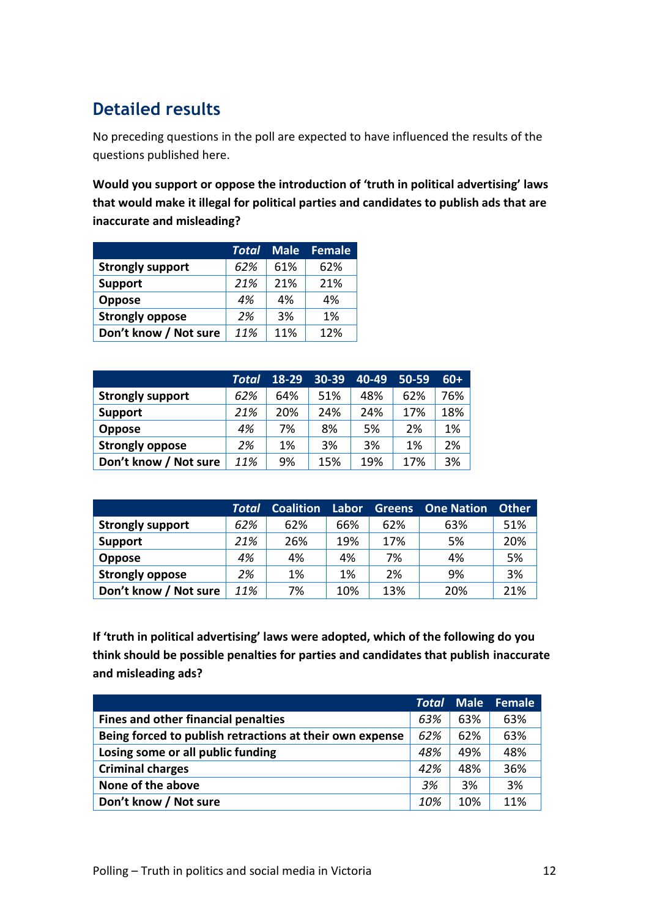# **Detailed results**

No preceding questions in the poll are expected to have influenced the results of the questions published here.

**Would you support or oppose the introduction of 'truth in political advertising' laws that would make it illegal for political parties and candidates to publish ads that are inaccurate and misleading?**

|                         | Total | <b>Male</b> | <b>Female</b> |
|-------------------------|-------|-------------|---------------|
| <b>Strongly support</b> | 62%   | 61%         | 62%           |
| <b>Support</b>          | 21%   | 21%         | 21%           |
| <b>Oppose</b>           | 4%    | 4%          | 4%            |
| <b>Strongly oppose</b>  | 2%    | 3%          | 1%            |
| Don't know / Not sure   | 11%   | 11%         | 12%           |

|                         | Total | 18-29 | $30 - 39$ | $40 - 49$ | $50 - 59$ | $60+$ |
|-------------------------|-------|-------|-----------|-----------|-----------|-------|
| <b>Strongly support</b> | 62%   | 64%   | 51%       | 48%       | 62%       | 76%   |
| <b>Support</b>          | 21%   | 20%   | 24%       | 24%       | 17%       | 18%   |
| <b>Oppose</b>           | 4%    | 7%    | 8%        | 5%        | 2%        | 1%    |
| <b>Strongly oppose</b>  | 2%    | 1%    | 3%        | 3%        | 1%        | 2%    |
| Don't know / Not sure   | 11%   | 9%    | 15%       | 19%       | 17%       | 3%    |

|                         | Total | <b>Coalition</b> | Labor | <b>Greens</b> | <b>One Nation</b> | <b>Other</b> |
|-------------------------|-------|------------------|-------|---------------|-------------------|--------------|
| <b>Strongly support</b> | 62%   | 62%              | 66%   | 62%           | 63%               | 51%          |
| <b>Support</b>          | 21%   | 26%              | 19%   | 17%           | 5%                | 20%          |
| <b>Oppose</b>           | 4%    | 4%               | 4%    | 7%            | 4%                | 5%           |
| <b>Strongly oppose</b>  | 2%    | 1%               | 1%    | 2%            | 9%                | 3%           |
| Don't know / Not sure   | 11%   | 7%               | 10%   | 13%           | 20%               | 21%          |

**If 'truth in political advertising' laws were adopted, which of the following do you think should be possible penalties for parties and candidates that publish inaccurate and misleading ads?**

|                                                          | <b>Total</b> | <b>Male</b> | Female |
|----------------------------------------------------------|--------------|-------------|--------|
| Fines and other financial penalties                      | 63%          | 63%         | 63%    |
| Being forced to publish retractions at their own expense | 62%          | 62%         | 63%    |
| Losing some or all public funding                        | 48%          | 49%         | 48%    |
| <b>Criminal charges</b>                                  | 42%          | 48%         | 36%    |
| None of the above                                        | 3%           | 3%          | 3%     |
| Don't know / Not sure                                    | 10%          | 10%         | 11%    |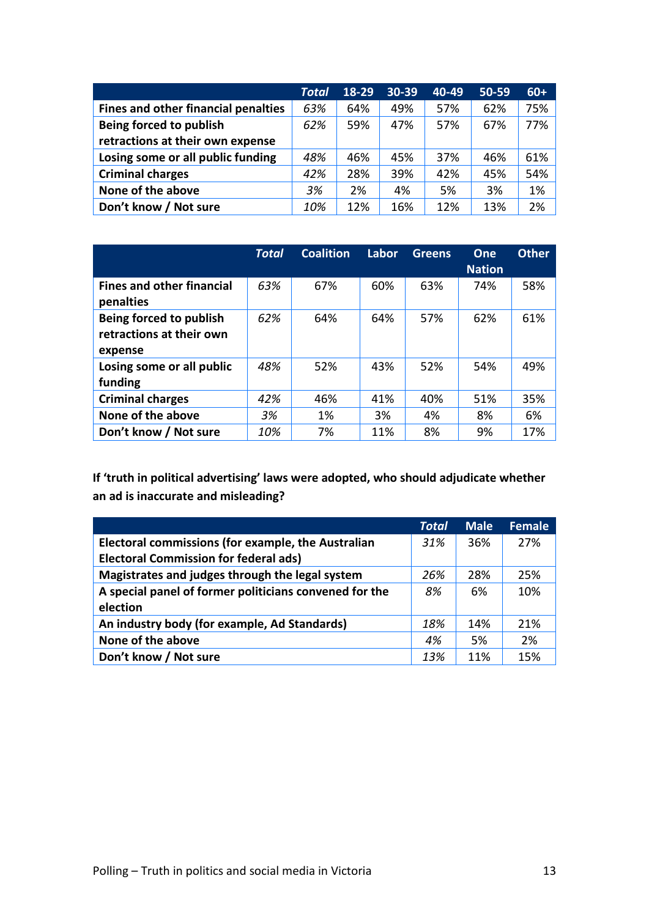|                                            | <b>Total</b> | 18-29 | 30-39 | 40-49 | 50-59 | $60+$ |
|--------------------------------------------|--------------|-------|-------|-------|-------|-------|
| <b>Fines and other financial penalties</b> | 63%          | 64%   | 49%   | 57%   | 62%   | 75%   |
| Being forced to publish                    | 62%          | 59%   | 47%   | 57%   | 67%   | 77%   |
| retractions at their own expense           |              |       |       |       |       |       |
| Losing some or all public funding          | 48%          | 46%   | 45%   | 37%   | 46%   | 61%   |
| <b>Criminal charges</b>                    | 42%          | 28%   | 39%   | 42%   | 45%   | 54%   |
| None of the above                          | 3%           | 2%    | 4%    | 5%    | 3%    | 1%    |
| Don't know / Not sure                      | 10%          | 12%   | 16%   | 12%   | 13%   | 2%    |

|                                                                | Total | <b>Coalition</b> | Labor | <b>Greens</b> | One<br><b>Nation</b> | <b>Other</b> |
|----------------------------------------------------------------|-------|------------------|-------|---------------|----------------------|--------------|
| <b>Fines and other financial</b><br>penalties                  | 63%   | 67%              | 60%   | 63%           | 74%                  | 58%          |
| Being forced to publish<br>retractions at their own<br>expense | 62%   | 64%              | 64%   | 57%           | 62%                  | 61%          |
| Losing some or all public<br>funding                           | 48%   | 52%              | 43%   | 52%           | 54%                  | 49%          |
| <b>Criminal charges</b>                                        | 42%   | 46%              | 41%   | 40%           | 51%                  | 35%          |
| None of the above                                              | 3%    | 1%               | 3%    | 4%            | 8%                   | 6%           |
| Don't know / Not sure                                          | 10%   | 7%               | 11%   | 8%            | 9%                   | 17%          |

**If 'truth in political advertising' laws were adopted, who should adjudicate whether an ad is inaccurate and misleading?**

|                                                           | <b>Total</b> | <b>Male</b> | <b>Female</b> |
|-----------------------------------------------------------|--------------|-------------|---------------|
| <b>Electoral commissions (for example, the Australian</b> | 31%          | 36%         | 27%           |
| <b>Electoral Commission for federal ads)</b>              |              |             |               |
| Magistrates and judges through the legal system           | 26%          | 28%         | 25%           |
| A special panel of former politicians convened for the    | 8%           | 6%          | 10%           |
| election                                                  |              |             |               |
| An industry body (for example, Ad Standards)              | 18%          | 14%         | 21%           |
| None of the above                                         | 4%           | 5%          | 2%            |
| Don't know / Not sure                                     | 13%          | 11%         | 15%           |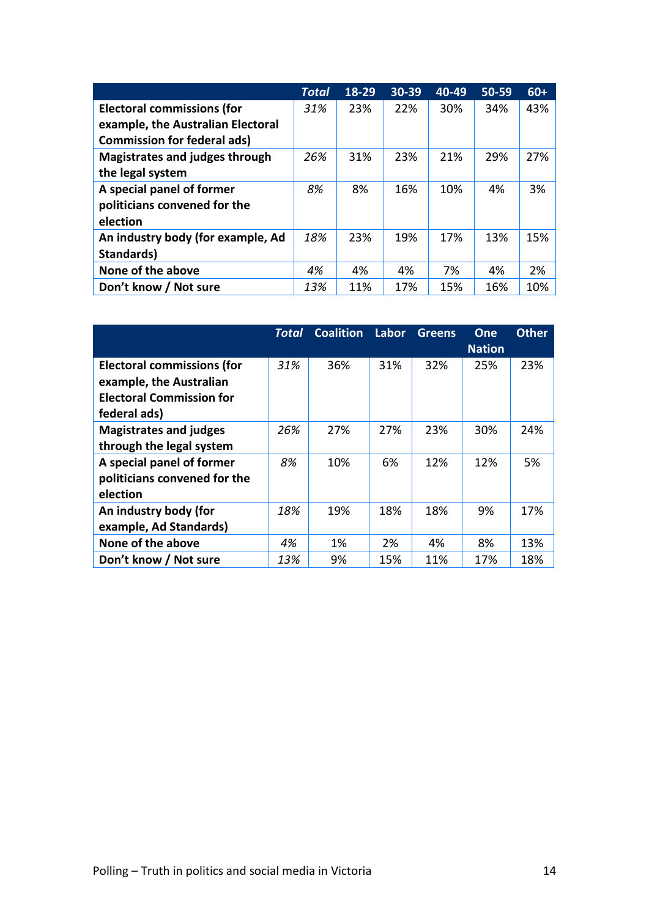|                                       | <b>Total</b> | 18-29 | 30-39 | 40-49 | 50-59 | $60+$ |
|---------------------------------------|--------------|-------|-------|-------|-------|-------|
| <b>Electoral commissions (for</b>     | 31%          | 23%   | 22%   | 30%   | 34%   | 43%   |
| example, the Australian Electoral     |              |       |       |       |       |       |
| <b>Commission for federal ads)</b>    |              |       |       |       |       |       |
| <b>Magistrates and judges through</b> | 26%          | 31%   | 23%   | 21%   | 29%   | 27%   |
| the legal system                      |              |       |       |       |       |       |
| A special panel of former             | 8%           | 8%    | 16%   | 10%   | 4%    | 3%    |
| politicians convened for the          |              |       |       |       |       |       |
| election                              |              |       |       |       |       |       |
| An industry body (for example, Ad     | 18%          | 23%   | 19%   | 17%   | 13%   | 15%   |
| Standards)                            |              |       |       |       |       |       |
| None of the above                     | 4%           | 4%    | 4%    | 7%    | 4%    | 2%    |
| Don't know / Not sure                 | 13%          | 11%   | 17%   | 15%   | 16%   | 10%   |

|                                   | Total | <b>Coalition</b> | Labor | <b>Greens</b> | One<br><b>Nation</b> | <b>Other</b> |
|-----------------------------------|-------|------------------|-------|---------------|----------------------|--------------|
| <b>Electoral commissions (for</b> | 31%   | 36%              | 31%   | 32%           | 25%                  | 23%          |
| example, the Australian           |       |                  |       |               |                      |              |
| <b>Electoral Commission for</b>   |       |                  |       |               |                      |              |
| federal ads)                      |       |                  |       |               |                      |              |
| <b>Magistrates and judges</b>     | 26%   | 27%              | 27%   | 23%           | 30%                  | 24%          |
| through the legal system          |       |                  |       |               |                      |              |
| A special panel of former         | 8%    | 10%              | 6%    | 12%           | 12%                  | 5%           |
| politicians convened for the      |       |                  |       |               |                      |              |
| election                          |       |                  |       |               |                      |              |
| An industry body (for             | 18%   | 19%              | 18%   | 18%           | 9%                   | 17%          |
| example, Ad Standards)            |       |                  |       |               |                      |              |
| None of the above                 | 4%    | 1%               | 2%    | 4%            | 8%                   | 13%          |
| Don't know / Not sure             | 13%   | 9%               | 15%   | 11%           | 17%                  | 18%          |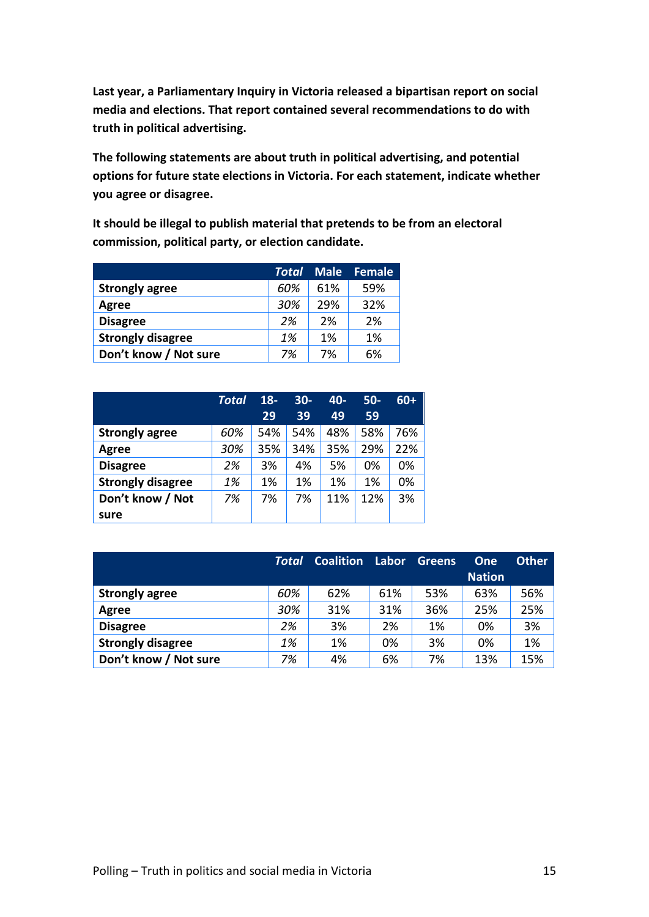**Last year, a Parliamentary Inquiry in Victoria released a bipartisan report on social media and elections. That report contained several recommendations to do with truth in political advertising.**

**The following statements are about truth in political advertising, and potential options for future state elections in Victoria. For each statement, indicate whether you agree or disagree.**

**It should be illegal to publish material that pretends to be from an electoral commission, political party, or election candidate.**

|                          | <b>Total</b> |     | <b>Male Female</b> |
|--------------------------|--------------|-----|--------------------|
| <b>Strongly agree</b>    | 60%          | 61% | 59%                |
| Agree                    | 30%          | 29% | 32%                |
| <b>Disagree</b>          | 2%           | 2%  | 2%                 |
| <b>Strongly disagree</b> | 1%           | 1%  | 1%                 |
| Don't know / Not sure    | 7%           | 7%  | 6%                 |

|                          | <b>Total</b> | $18 -$ | $30 -$ | $40 -$ | $50-$ | $60+$ |
|--------------------------|--------------|--------|--------|--------|-------|-------|
|                          |              | 29     | 39     | 49     | 59    |       |
| <b>Strongly agree</b>    | 60%          | 54%    | 54%    | 48%    | 58%   | 76%   |
| Agree                    | 30%          | 35%    | 34%    | 35%    | 29%   | 22%   |
| <b>Disagree</b>          | 2%           | 3%     | 4%     | 5%     | 0%    | 0%    |
| <b>Strongly disagree</b> | 1%           | 1%     | 1%     | 1%     | 1%    | 0%    |
| Don't know / Not         | 7%           | 7%     | 7%     | 11%    | 12%   | 3%    |
| sure                     |              |        |        |        |       |       |

|                          | <b>Total</b> | <b>Coalition</b> | Labor | <b>Greens</b> | One           | <b>Other</b> |
|--------------------------|--------------|------------------|-------|---------------|---------------|--------------|
|                          |              |                  |       |               | <b>Nation</b> |              |
| <b>Strongly agree</b>    | 60%          | 62%              | 61%   | 53%           | 63%           | 56%          |
| Agree                    | 30%          | 31%              | 31%   | 36%           | 25%           | 25%          |
| <b>Disagree</b>          | 2%           | 3%               | 2%    | 1%            | 0%            | 3%           |
| <b>Strongly disagree</b> | 1%           | 1%               | 0%    | 3%            | 0%            | 1%           |
| Don't know / Not sure    | 7%           | 4%               | 6%    | 7%            | 13%           | 15%          |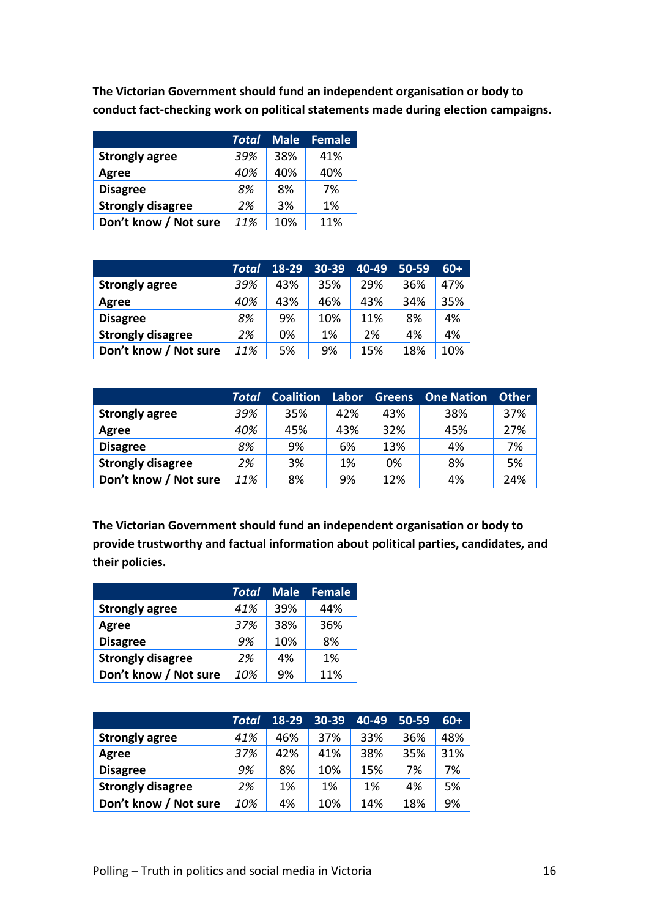|                          | Total | <b>Male</b> | <b>Female</b> |
|--------------------------|-------|-------------|---------------|
| <b>Strongly agree</b>    | 39%   | 38%         | 41%           |
| Agree                    | 40%   | 40%         | 40%           |
| <b>Disagree</b>          | 8%    | 8%          | 7%            |
| <b>Strongly disagree</b> | 2%    | 3%          | 1%            |
| Don't know / Not sure    | 11%   | 10%         | 11%           |

|                          | Total | $18-29$ | $30 - 39$ | 40-49 | $50 - 59$ | $60+$ |
|--------------------------|-------|---------|-----------|-------|-----------|-------|
| <b>Strongly agree</b>    | 39%   | 43%     | 35%       | 29%   | 36%       | 47%   |
| Agree                    | 40%   | 43%     | 46%       | 43%   | 34%       | 35%   |
| <b>Disagree</b>          | 8%    | 9%      | 10%       | 11%   | 8%        | 4%    |
| <b>Strongly disagree</b> | 2%    | 0%      | 1%        | 2%    | 4%        | 4%    |
| Don't know / Not sure    | 11%   | 5%      | 9%        | 15%   | 18%       | 10%   |

|                          | Total | <b>Coalition</b> | Labor | <b>Greens</b> | <b>One Nation</b> | <b>Other</b> |
|--------------------------|-------|------------------|-------|---------------|-------------------|--------------|
| <b>Strongly agree</b>    | 39%   | 35%              | 42%   | 43%           | 38%               | 37%          |
| Agree                    | 40%   | 45%              | 43%   | 32%           | 45%               | 27%          |
| <b>Disagree</b>          | 8%    | 9%               | 6%    | 13%           | 4%                | 7%           |
| <b>Strongly disagree</b> | 2%    | 3%               | 1%    | 0%            | 8%                | 5%           |
| Don't know / Not sure    | 11%   | 8%               | 9%    | 12%           | 4%                | 24%          |

**The Victorian Government should fund an independent organisation or body to provide trustworthy and factual information about political parties, candidates, and their policies.** 

|                          | Total |     | Male Female |
|--------------------------|-------|-----|-------------|
| <b>Strongly agree</b>    | 41%   | 39% | 44%         |
| Agree                    | 37%   | 38% | 36%         |
| <b>Disagree</b>          | 9%    | 10% | 8%          |
| <b>Strongly disagree</b> | 2%    | 4%  | 1%          |
| Don't know / Not sure    | 10%   | 9%  | 11%         |

|                          | Total | 18-29 | 30-39 | $40-49$ | $50 - 59$ | $60+$ |
|--------------------------|-------|-------|-------|---------|-----------|-------|
| <b>Strongly agree</b>    | 41%   | 46%   | 37%   | 33%     | 36%       | 48%   |
| Agree                    | 37%   | 42%   | 41%   | 38%     | 35%       | 31%   |
| <b>Disagree</b>          | 9%    | 8%    | 10%   | 15%     | 7%        | 7%    |
| <b>Strongly disagree</b> | 2%    | 1%    | 1%    | 1%      | 4%        | 5%    |
| Don't know / Not sure    | 10%   | 4%    | 10%   | 14%     | 18%       | 9%    |

**The Victorian Government should fund an independent organisation or body to** 

**conduct fact-checking work on political statements made during election campaigns.**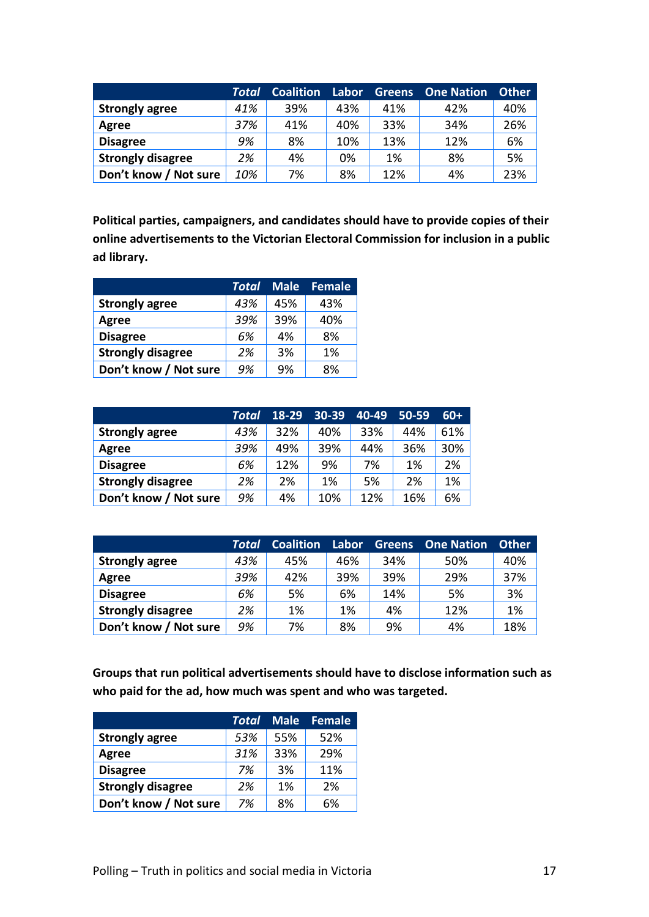|                          | Total | <b>Coalition</b> | Labor | <b>Greens</b> | <b>One Nation</b> | <b>Other</b> |
|--------------------------|-------|------------------|-------|---------------|-------------------|--------------|
| <b>Strongly agree</b>    | 41%   | 39%              | 43%   | 41%           | 42%               | 40%          |
| Agree                    | 37%   | 41%              | 40%   | 33%           | 34%               | 26%          |
| <b>Disagree</b>          | 9%    | 8%               | 10%   | 13%           | 12%               | 6%           |
| <b>Strongly disagree</b> | 2%    | 4%               | 0%    | 1%            | 8%                | 5%           |
| Don't know / Not sure    | 10%   | 7%               | 8%    | 12%           | 4%                | 23%          |

**Political parties, campaigners, and candidates should have to provide copies of their online advertisements to the Victorian Electoral Commission for inclusion in a public ad library.** 

|                          | Total | <b>Male</b> | <b>Female</b> |
|--------------------------|-------|-------------|---------------|
| <b>Strongly agree</b>    | 43%   | 45%         | 43%           |
| Agree                    | 39%   | 39%         | 40%           |
| <b>Disagree</b>          | 6%    | 4%          | 8%            |
| <b>Strongly disagree</b> | 2%    | 3%          | 1%            |
| Don't know / Not sure    | 9%    | 9%          | 8%            |

|                          | Total | $18-29$ | 30-39 | 40-49 | $50 - 59$ | $60+$ |
|--------------------------|-------|---------|-------|-------|-----------|-------|
| <b>Strongly agree</b>    | 43%   | 32%     | 40%   | 33%   | 44%       | 61%   |
| Agree                    | 39%   | 49%     | 39%   | 44%   | 36%       | 30%   |
| <b>Disagree</b>          | 6%    | 12%     | 9%    | 7%    | 1%        | 2%    |
| <b>Strongly disagree</b> | 2%    | 2%      | 1%    | 5%    | 2%        | 1%    |
| Don't know / Not sure    | 9%    | 4%      | 10%   | 12%   | 16%       | 6%    |

|                          | Total | Coalition | Labor | <b>Greens</b> | <b>One Nation</b> | <b>Other</b> |
|--------------------------|-------|-----------|-------|---------------|-------------------|--------------|
| <b>Strongly agree</b>    | 43%   | 45%       | 46%   | 34%           | 50%               | 40%          |
| Agree                    | 39%   | 42%       | 39%   | 39%           | 29%               | 37%          |
| <b>Disagree</b>          | 6%    | 5%        | 6%    | 14%           | 5%                | 3%           |
| <b>Strongly disagree</b> | 2%    | 1%        | 1%    | 4%            | 12%               | 1%           |
| Don't know / Not sure    | 9%    | 7%        | 8%    | 9%            | 4%                | 18%          |

**Groups that run political advertisements should have to disclose information such as who paid for the ad, how much was spent and who was targeted.** 

|                          | Total | <b>Male</b> | <b>Female</b> |
|--------------------------|-------|-------------|---------------|
| <b>Strongly agree</b>    | 53%   | 55%         | 52%           |
| Agree                    | 31%   | 33%         | 29%           |
| <b>Disagree</b>          | 7%    | 3%          | 11%           |
| <b>Strongly disagree</b> | 2%    | 1%          | 2%            |
| Don't know / Not sure    | 7%    | 8%          | 6%            |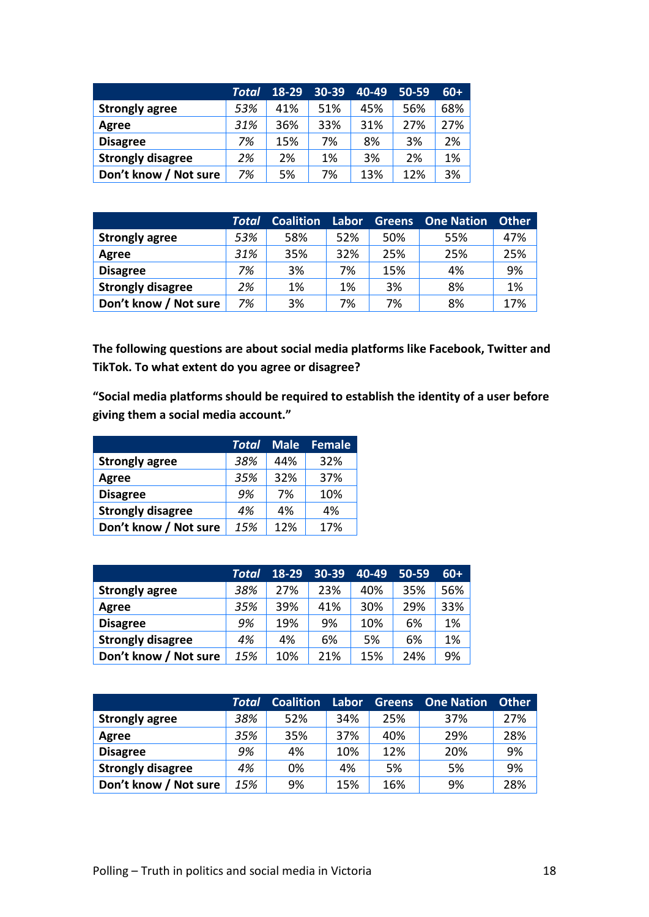|                          | Total | 18-29 | 30-39 | 40-49 | $50 - 59$ | $60+$ |
|--------------------------|-------|-------|-------|-------|-----------|-------|
| <b>Strongly agree</b>    | 53%   | 41%   | 51%   | 45%   | 56%       | 68%   |
| Agree                    | 31%   | 36%   | 33%   | 31%   | 27%       | 27%   |
| <b>Disagree</b>          | 7%    | 15%   | 7%    | 8%    | 3%        | 2%    |
| <b>Strongly disagree</b> | 2%    | 2%    | 1%    | 3%    | 2%        | 1%    |
| Don't know / Not sure    | 7%    | 5%    | 7%    | 13%   | 12%       | 3%    |

|                          | Total | Coalition | Labor | <b>Greens</b> | <b>One Nation</b> | <b>Other</b> |
|--------------------------|-------|-----------|-------|---------------|-------------------|--------------|
| <b>Strongly agree</b>    | 53%   | 58%       | 52%   | 50%           | 55%               | 47%          |
| Agree                    | 31%   | 35%       | 32%   | 25%           | 25%               | 25%          |
| <b>Disagree</b>          | 7%    | 3%        | 7%    | 15%           | 4%                | 9%           |
| <b>Strongly disagree</b> | 2%    | 1%        | 1%    | 3%            | 8%                | 1%           |
| Don't know / Not sure    | 7%    | 3%        | 7%    | 7%            | 8%                | 17%          |

**The following questions are about social media platforms like Facebook, Twitter and TikTok. To what extent do you agree or disagree?**

**"Social media platforms should be required to establish the identity of a user before giving them a social media account."**

|                          | Total | <b>Male</b> | <b>Female</b> |
|--------------------------|-------|-------------|---------------|
| <b>Strongly agree</b>    | 38%   | 44%         | 32%           |
| Agree                    | 35%   | 32%         | 37%           |
| <b>Disagree</b>          | 9%    | 7%          | 10%           |
| <b>Strongly disagree</b> | 4%    | 4%          | 4%            |
| Don't know / Not sure    | 15%   | 12%         | 17%           |

|                          | Total | 18-29 | 30-39 | 40-49 | $50 - 59$ | $60+$ |
|--------------------------|-------|-------|-------|-------|-----------|-------|
| <b>Strongly agree</b>    | 38%   | 27%   | 23%   | 40%   | 35%       | 56%   |
| Agree                    | 35%   | 39%   | 41%   | 30%   | 29%       | 33%   |
| <b>Disagree</b>          | 9%    | 19%   | 9%    | 10%   | 6%        | 1%    |
| <b>Strongly disagree</b> | 4%    | 4%    | 6%    | 5%    | 6%        | 1%    |
| Don't know / Not sure    | 15%   | 10%   | 21%   | 15%   | 24%       | 9%    |

|                          | Total | <b>Coalition</b> | Labor | <b>Greens</b> | <b>One Nation</b> | <b>Other</b> |
|--------------------------|-------|------------------|-------|---------------|-------------------|--------------|
| <b>Strongly agree</b>    | 38%   | 52%              | 34%   | 25%           | 37%               | 27%          |
| Agree                    | 35%   | 35%              | 37%   | 40%           | 29%               | 28%          |
| <b>Disagree</b>          | 9%    | 4%               | 10%   | 12%           | 20%               | 9%           |
| <b>Strongly disagree</b> | 4%    | 0%               | 4%    | 5%            | 5%                | 9%           |
| Don't know / Not sure    | 15%   | 9%               | 15%   | 16%           | 9%                | 28%          |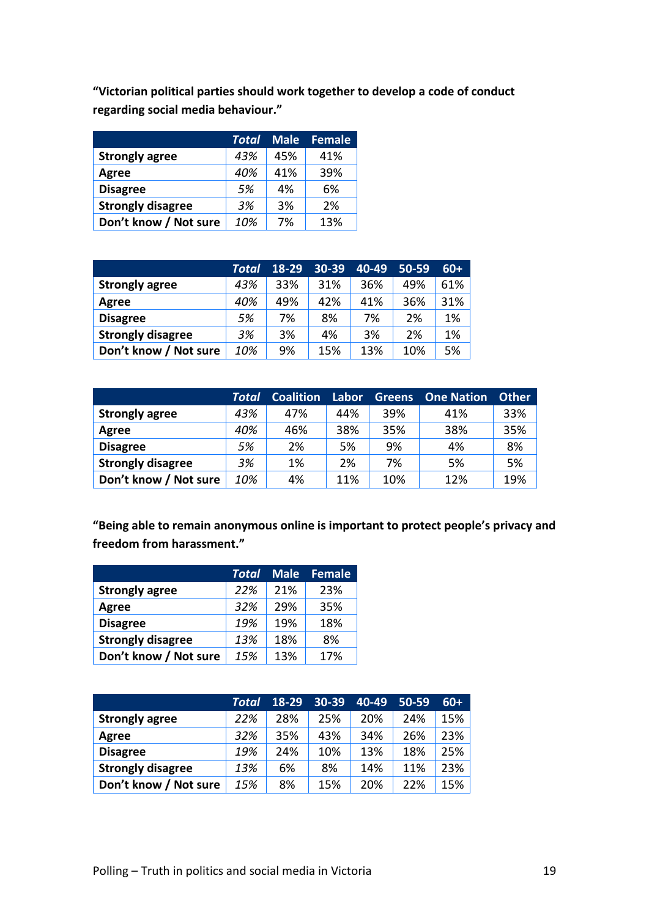**"Victorian political parties should work together to develop a code of conduct regarding social media behaviour."**

|                          | Total | <b>Male</b> | <b>Female</b> |
|--------------------------|-------|-------------|---------------|
| <b>Strongly agree</b>    | 43%   | 45%         | 41%           |
| Agree                    | 40%   | 41%         | 39%           |
| <b>Disagree</b>          | .5%   | 4%          | 6%            |
| <b>Strongly disagree</b> | 3%    | 3%          | 2%            |
| Don't know / Not sure    | 10%   | 7%          | 13%           |

|                          | Total | 18-29 | 30-39 | 40-49 | 50-59 | $60+$ |
|--------------------------|-------|-------|-------|-------|-------|-------|
| <b>Strongly agree</b>    | 43%   | 33%   | 31%   | 36%   | 49%   | 61%   |
| Agree                    | 40%   | 49%   | 42%   | 41%   | 36%   | 31%   |
| <b>Disagree</b>          | 5%    | 7%    | 8%    | 7%    | 2%    | 1%    |
| <b>Strongly disagree</b> | 3%    | 3%    | 4%    | 3%    | 2%    | 1%    |
| Don't know / Not sure    | 10%   | 9%    | 15%   | 13%   | 10%   | 5%    |

|                          | Total | <b>Coalition</b> | Labor | <b>Greens</b> | <b>One Nation</b> | <b>Other</b> |
|--------------------------|-------|------------------|-------|---------------|-------------------|--------------|
| <b>Strongly agree</b>    | 43%   | 47%              | 44%   | 39%           | 41%               | 33%          |
| Agree                    | 40%   | 46%              | 38%   | 35%           | 38%               | 35%          |
| <b>Disagree</b>          | 5%    | 2%               | 5%    | 9%            | 4%                | 8%           |
| <b>Strongly disagree</b> | 3%    | 1%               | 2%    | 7%            | 5%                | 5%           |
| Don't know / Not sure    | 10%   | 4%               | 11%   | 10%           | 12%               | 19%          |

**"Being able to remain anonymous online is important to protect people's privacy and freedom from harassment."**

|                          | Total | <b>Male</b> | Female |
|--------------------------|-------|-------------|--------|
| <b>Strongly agree</b>    | 22%   | 21%         | 23%    |
| Agree                    | 32%   | 29%         | 35%    |
| <b>Disagree</b>          | 19%   | 19%         | 18%    |
| <b>Strongly disagree</b> | 13%   | 18%         | 8%     |
| Don't know / Not sure    | 15%   | 13%         | 17%    |

|                          | Total | 18-29 | 30-39 | 40-49 | 50-59 | $60+$ |
|--------------------------|-------|-------|-------|-------|-------|-------|
| <b>Strongly agree</b>    | 22%   | 28%   | 25%   | 20%   | 24%   | 15%   |
| Agree                    | 32%   | 35%   | 43%   | 34%   | 26%   | 23%   |
| <b>Disagree</b>          | 19%   | 24%   | 10%   | 13%   | 18%   | 25%   |
| <b>Strongly disagree</b> | 13%   | 6%    | 8%    | 14%   | 11%   | 23%   |
| Don't know / Not sure    | 15%   | 8%    | 15%   | 20%   | 22%   | 15%   |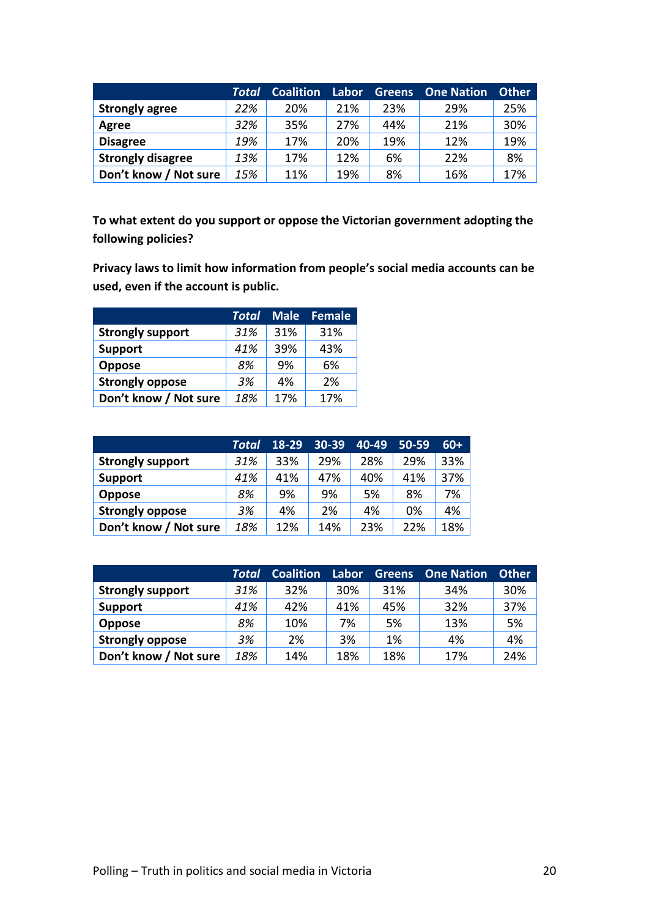|                          | Total | <b>Coalition</b> | Labor | <b>Greens</b> | <b>One Nation</b> | <b>Other</b> |
|--------------------------|-------|------------------|-------|---------------|-------------------|--------------|
| <b>Strongly agree</b>    | 22%   | 20%              | 21%   | 23%           | 29%               | 25%          |
| Agree                    | 32%   | 35%              | 27%   | 44%           | 21%               | 30%          |
| <b>Disagree</b>          | 19%   | 17%              | 20%   | 19%           | 12%               | 19%          |
| <b>Strongly disagree</b> | 13%   | 17%              | 12%   | 6%            | 22%               | 8%           |
| Don't know / Not sure    | 15%   | 11%              | 19%   | 8%            | 16%               | 17%          |

**To what extent do you support or oppose the Victorian government adopting the following policies?**

**Privacy laws to limit how information from people's social media accounts can be used, even if the account is public.**

|                         | Total | <b>Male</b> | <b>Female</b> |
|-------------------------|-------|-------------|---------------|
| <b>Strongly support</b> | 31%   | 31%         | 31%           |
| <b>Support</b>          | 41%   | 39%         | 43%           |
| <b>Oppose</b>           | 8%    | 9%          | 6%            |
| <b>Strongly oppose</b>  | 3%    | 4%          | 2%            |
| Don't know / Not sure   | 18%   | 17%         | 17%           |

|                         | Total | $18 - 29$ | 30-39 | 40-49 | $50 - 59$ | $60+$ |
|-------------------------|-------|-----------|-------|-------|-----------|-------|
| <b>Strongly support</b> | 31%   | 33%       | 29%   | 28%   | 29%       | 33%   |
| <b>Support</b>          | 41%   | 41%       | 47%   | 40%   | 41%       | 37%   |
| <b>Oppose</b>           | 8%    | 9%        | 9%    | 5%    | 8%        | 7%    |
| <b>Strongly oppose</b>  | 3%    | 4%        | 2%    | 4%    | 0%        | 4%    |
| Don't know / Not sure   | 18%   | 12%       | 14%   | 23%   | 22%       | 18%   |

|                         | <b>Total</b> | <b>Coalition</b> | Labor | <b>Greens</b> | <b>One Nation</b> | <b>Other</b> |
|-------------------------|--------------|------------------|-------|---------------|-------------------|--------------|
| <b>Strongly support</b> | 31%          | 32%              | 30%   | 31%           | 34%               | 30%          |
| <b>Support</b>          | 41%          | 42%              | 41%   | 45%           | 32%               | 37%          |
| Oppose                  | 8%           | 10%              | 7%    | 5%            | 13%               | 5%           |
| <b>Strongly oppose</b>  | 3%           | 2%               | 3%    | 1%            | 4%                | 4%           |
| Don't know / Not sure   | 18%          | 14%              | 18%   | 18%           | 17%               | 24%          |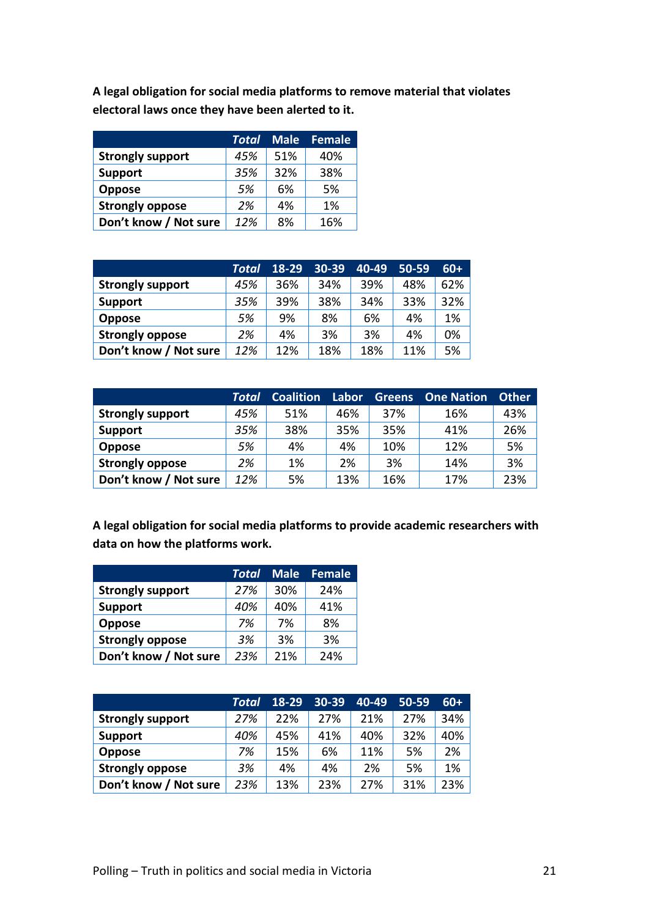**A legal obligation for social media platforms to remove material that violates electoral laws once they have been alerted to it.**

|                         | Total | <b>Male</b> | <b>Female</b> |
|-------------------------|-------|-------------|---------------|
| <b>Strongly support</b> | 45%   | 51%         | 40%           |
| <b>Support</b>          | 35%   | 32%         | 38%           |
| <b>Oppose</b>           | 5%    | 6%          | 5%            |
| <b>Strongly oppose</b>  | 2%    | 4%          | 1%            |
| Don't know / Not sure   | 12%   | 8%          | 16%           |

|                         | Total | 18-29 | 30-39 | 40-49 | 50-59 | $60+$ |
|-------------------------|-------|-------|-------|-------|-------|-------|
| <b>Strongly support</b> | 45%   | 36%   | 34%   | 39%   | 48%   | 62%   |
| <b>Support</b>          | 35%   | 39%   | 38%   | 34%   | 33%   | 32%   |
| <b>Oppose</b>           | 5%    | 9%    | 8%    | 6%    | 4%    | 1%    |
| <b>Strongly oppose</b>  | 2%    | 4%    | 3%    | 3%    | 4%    | 0%    |
| Don't know / Not sure   | 12%   | 12%   | 18%   | 18%   | 11%   | 5%    |

|                         | Total | <b>Coalition</b> | Labor | <b>Greens</b> | <b>One Nation</b> | <b>Other</b> |
|-------------------------|-------|------------------|-------|---------------|-------------------|--------------|
| <b>Strongly support</b> | 45%   | 51%              | 46%   | 37%           | 16%               | 43%          |
| <b>Support</b>          | 35%   | 38%              | 35%   | 35%           | 41%               | 26%          |
| <b>Oppose</b>           | 5%    | 4%               | 4%    | 10%           | 12%               | 5%           |
| <b>Strongly oppose</b>  | 2%    | 1%               | 2%    | 3%            | 14%               | 3%           |
| Don't know / Not sure   | 12%   | 5%               | 13%   | 16%           | 17%               | 23%          |

**A legal obligation for social media platforms to provide academic researchers with data on how the platforms work.**

|                         | Total | <b>Male</b> | Female |
|-------------------------|-------|-------------|--------|
| <b>Strongly support</b> | 27%   | 30%         | 24%    |
| <b>Support</b>          | 40%   | 40%         | 41%    |
| <b>Oppose</b>           | 7%    | 7%          | 8%     |
| <b>Strongly oppose</b>  | 3%    | 3%          | 3%     |
| Don't know / Not sure   | 23%   | 21%         | 24%    |

|                         | Total | 18-29 | 30-39 | 40-49 | 50-59 | $60+$ |
|-------------------------|-------|-------|-------|-------|-------|-------|
| <b>Strongly support</b> | 27%   | 22%   | 27%   | 21%   | 27%   | 34%   |
| <b>Support</b>          | 40%   | 45%   | 41%   | 40%   | 32%   | 40%   |
| <b>Oppose</b>           | 7%    | 15%   | 6%    | 11%   | 5%    | 2%    |
| <b>Strongly oppose</b>  | 3%    | 4%    | 4%    | 2%    | 5%    | 1%    |
| Don't know / Not sure   | 23%   | 13%   | 23%   | 27%   | 31%   | 23%   |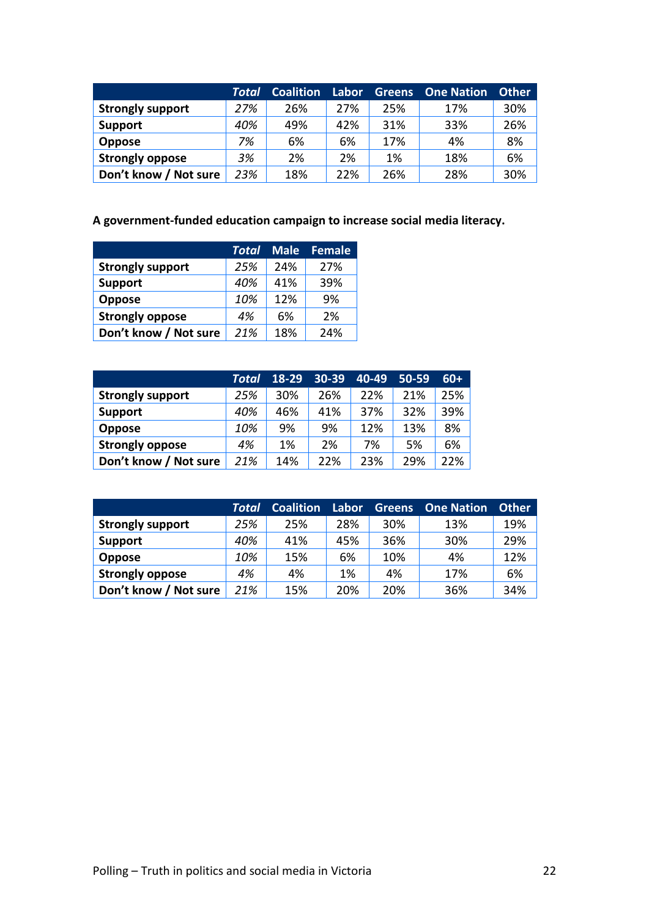|                         | Total | <b>Coalition</b> | Labor | <b>Greens</b> | <b>One Nation</b> | <b>Other</b> |
|-------------------------|-------|------------------|-------|---------------|-------------------|--------------|
| <b>Strongly support</b> | 27%   | 26%              | 27%   | 25%           | 17%               | 30%          |
| <b>Support</b>          | 40%   | 49%              | 42%   | 31%           | 33%               | 26%          |
| <b>Oppose</b>           | 7%    | 6%               | 6%    | 17%           | 4%                | 8%           |
| <b>Strongly oppose</b>  | 3%    | 2%               | 2%    | 1%            | 18%               | 6%           |
| Don't know / Not sure   | 23%   | 18%              | 22%   | 26%           | 28%               | 30%          |

#### **A government-funded education campaign to increase social media literacy.**

|                         | Total | <b>Male</b> | <b>Female</b> |
|-------------------------|-------|-------------|---------------|
| <b>Strongly support</b> | 25%   | 24%         | 27%           |
| <b>Support</b>          | 40%   | 41%         | 39%           |
| <b>Oppose</b>           | 10%   | 12%         | 9%            |
| <b>Strongly oppose</b>  | 4%    | 6%          | 2%            |
| Don't know / Not sure   | 21%   | 18%         | 24%           |

|                         | Total | 18-29 | 30-39 | 40-49 | $50 - 59$ | $60+$ |
|-------------------------|-------|-------|-------|-------|-----------|-------|
| <b>Strongly support</b> | 25%   | 30%   | 26%   | 22%   | 21%       | 25%   |
| <b>Support</b>          | 40%   | 46%   | 41%   | 37%   | 32%       | 39%   |
| <b>Oppose</b>           | 10%   | 9%    | 9%    | 12%   | 13%       | 8%    |
| <b>Strongly oppose</b>  | 4%    | 1%    | 2%    | 7%    | 5%        | 6%    |
| Don't know / Not sure   | 21%   | 14%   | 22%   | 23%   | 29%       | 22%   |

|                         | Total | <b>Coalition</b> | Labor | <b>Greens</b> | <b>One Nation</b> | <b>Other</b> |
|-------------------------|-------|------------------|-------|---------------|-------------------|--------------|
| <b>Strongly support</b> | 25%   | 25%              | 28%   | 30%           | 13%               | 19%          |
| <b>Support</b>          | 40%   | 41%              | 45%   | 36%           | 30%               | 29%          |
| <b>Oppose</b>           | 10%   | 15%              | 6%    | 10%           | 4%                | 12%          |
| <b>Strongly oppose</b>  | 4%    | 4%               | 1%    | 4%            | 17%               | 6%           |
| Don't know / Not sure   | 21%   | 15%              | 20%   | 20%           | 36%               | 34%          |